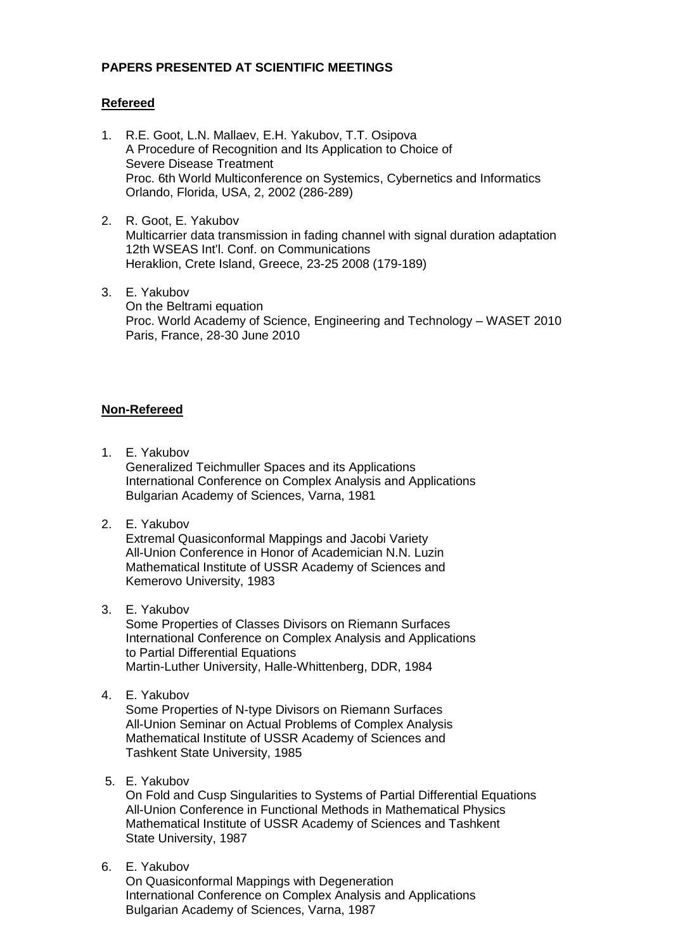## **PAPERS PRESENTED AT SCIENTIFIC MEETINGS**

## **Refereed**

- 1. R.E. Goot, L.N. Mallaev, E.H. Yakubov, T.T. Osipova A Procedure of Recognition and Its Application to Choice of Severe Disease Treatment Proc. 6th World Multiconference on Systemics, Cybernetics and Informatics Orlando, Florida, USA, 2, 2002 (286-289)
- 2. R. Goot, E. Yakubov Multicarrier data transmission in fading channel with signal duration adaptation 12th WSEAS Int'l. Conf. on Communications Heraklion, Crete Island, Greece, 23-25 2008 (179-189)
- 3. E. Yakubov On the Beltrami equation Proc. World Academy of Science, Engineering and Technology – WASET 2010 Paris, France, 28-30 June 2010

# **Non-Refereed**

1. E. Yakubov

Generalized Teichmuller Spaces and its Applications International Conference on Complex Analysis and Applications Bulgarian Academy of Sciences, Varna, 1981

2. E. Yakubov

 Extremal Quasiconformal Mappings and Jacobi Variety All-Union Conference in Honor of Academician N.N. Luzin Mathematical Institute of USSR Academy of Sciences and Kemerovo University, 1983

3. E. Yakubov

 Some Properties of Classes Divisors on Riemann Surfaces International Conference on Complex Analysis and Applications to Partial Differential Equations Martin-Luther University, Halle-Whittenberg, DDR, 1984

4. E. Yakubov

 Some Properties of N-type Divisors on Riemann Surfaces All-Union Seminar on Actual Problems of Complex Analysis Mathematical Institute of USSR Academy of Sciences and Tashkent State University, 1985

5. E. Yakubov

 On Fold and Cusp Singularities to Systems of Partial Differential Equations All-Union Conference in Functional Methods in Mathematical Physics Mathematical Institute of USSR Academy of Sciences and Tashkent State University, 1987

6. E. Yakubov

 On Quasiconformal Mappings with Degeneration International Conference on Complex Analysis and Applications Bulgarian Academy of Sciences, Varna, 1987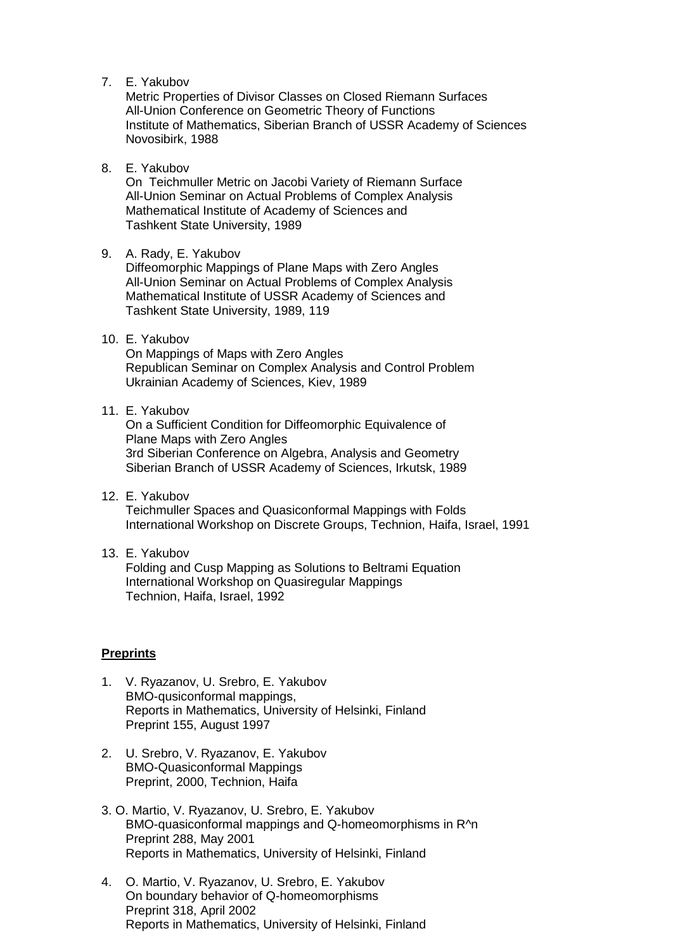7. E. Yakubov

 Metric Properties of Divisor Classes on Closed Riemann Surfaces All-Union Conference on Geometric Theory of Functions Institute of Mathematics, Siberian Branch of USSR Academy of Sciences Novosibirk, 1988

8. E. Yakubov

On Teichmuller Metric on Jacobi Variety of Riemann Surface All-Union Seminar on Actual Problems of Complex Analysis Mathematical Institute of Academy of Sciences and Tashkent State University, 1989

## 9. A. Rady, E. Yakubov

 Diffeomorphic Mappings of Plane Maps with Zero Angles All-Union Seminar on Actual Problems of Complex Analysis Mathematical Institute of USSR Academy of Sciences and Tashkent State University, 1989, 119

# 10. E. Yakubov

 On Mappings of Maps with Zero Angles Republican Seminar on Complex Analysis and Control Problem Ukrainian Academy of Sciences, Kiev, 1989

#### 11. E. Yakubov

 On a Sufficient Condition for Diffeomorphic Equivalence of Plane Maps with Zero Angles 3rd Siberian Conference on Algebra, Analysis and Geometry Siberian Branch of USSR Academy of Sciences, Irkutsk, 1989

12. E. Yakubov Teichmuller Spaces and Quasiconformal Mappings with Folds International Workshop on Discrete Groups, Technion, Haifa, Israel, 1991

#### 13. E. Yakubov Folding and Cusp Mapping as Solutions to Beltrami Equation International Workshop on Quasiregular Mappings Technion, Haifa, Israel, 1992

## **Preprints**

- 1. V. Ryazanov, U. Srebro, E. Yakubov BMO-qusiconformal mappings, Reports in Mathematics, University of Helsinki, Finland Preprint 155, August 1997
- 2. U. Srebro, V. Ryazanov, E. Yakubov BMO-Quasiconformal Mappings Preprint, 2000, Technion, Haifa
- 3. O. Martio, V. Ryazanov, U. Srebro, E. Yakubov BMO-quasiconformal mappings and Q-homeomorphisms in R^n Preprint 288, May 2001 Reports in Mathematics, University of Helsinki, Finland
- 4. O. Martio, V. Ryazanov, U. Srebro, E. Yakubov On boundary behavior of Q-homeomorphisms Preprint 318, April 2002 Reports in Mathematics, University of Helsinki, Finland